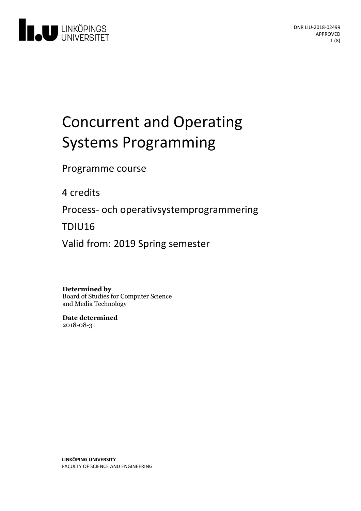

# **Concurrent and Operating** Systems Programming

Programme course

4 credits

Process- och operativsystemprogrammering

TDIU16

Valid from: 2019 Spring semester

**Determined by**

Board of Studies for Computer Science and Media Technology

**Date determined** 2018-08-31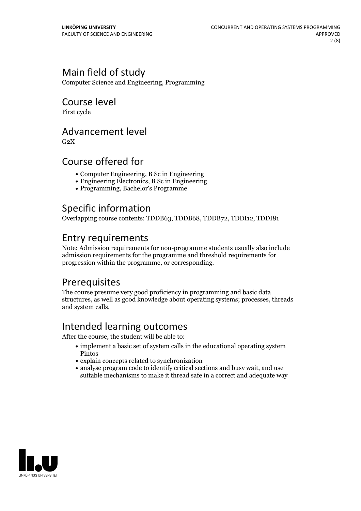## Main field of study

Computer Science and Engineering, Programming

### Course level

First cycle

### Advancement level

 $G<sub>2</sub>X$ 

### Course offered for

- Computer Engineering, B Sc in Engineering
- Engineering Electronics, B Sc in Engineering
- Programming, Bachelor's Programme

# Specific information

Overlapping course contents: TDDB63, TDDB68, TDDB72, TDDI12, TDDI81

### Entry requirements

Note: Admission requirements for non-programme students usually also include admission requirements for the programme and threshold requirements for progression within the programme, or corresponding.

# **Prerequisites**

The course presume very good proficiency in programming and basic data structures, as well as good knowledge about operating systems; processes, threads and system calls.

# Intended learning outcomes

After the course, the student will be able to:

- implement a basic set of system calls in the educational operating system Pintos
- explain concepts related to synchronization
- analyse program code to identify critical sections and busy wait, and use suitable mechanisms to make it thread safe in a correct and adequate way

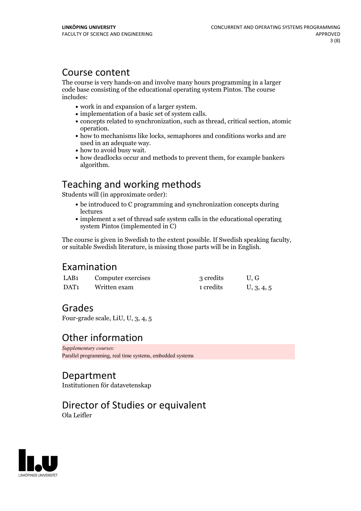### Course content

The course is very hands-on and involve many hours programming in a larger code base consisting of the educational operating system Pintos. The course includes:

- 
- 
- work in and expansion of a larger system.<br>
implementation of a basic set of system calls.<br>
concepts related to synchronization, such as thread, critical section, atomic
- operation.<br>• how to mechanisms like locks, semaphores and conditions works and are used in an adequate way.<br>• how to avoid busy wait.<br>• how deadlocks occur and methods to prevent them, for example bankers
- 
- algorithm.

# Teaching and working methods

Students will (in approximate order):

- be introduced to C programming and synchronization concepts during lectures
- implement a set of thread safe system calls in the educational operating system Pintos (implemented in C)

The course is given in Swedish to the extent possible. If Swedish speaking faculty, or suitable Swedish literature, is missing those parts will be in English.

### Examination

| LAB <sub>1</sub> | Computer exercises | 3 credits | U.G        |
|------------------|--------------------|-----------|------------|
| DAT <sub>1</sub> | Written exam       | 1 credits | U, 3, 4, 5 |

### Grades

Four-grade scale, LiU, U, 3, 4, 5

### Other information

*Supplementary courses:* Parallel programming, real time systems, embedded systems

### Department

Institutionen för datavetenskap

### Director of Studies or equivalent Ola Leifler

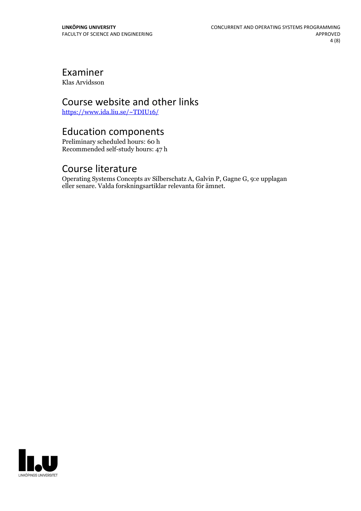# Examiner

Klas Arvidsson

### Course website and other links

<https://www.ida.liu.se/~TDIU16/>

## Education components

Preliminary scheduled hours: 60 h Recommended self-study hours: 47 h

### Course literature

Operating Systems Concepts av Silberschatz A, Galvin P, Gagne G, 9:e upplagan eller senare. Valda forskningsartiklar relevanta för ämnet.

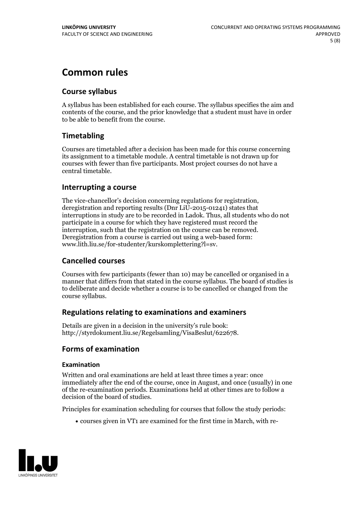# **Common rules**

#### **Course syllabus**

A syllabus has been established for each course. The syllabus specifies the aim and contents of the course, and the prior knowledge that a student must have in order to be able to benefit from the course.

#### **Timetabling**

Courses are timetabled after a decision has been made for this course concerning its assignment to a timetable module. A central timetable is not drawn up for courses with fewer than five participants. Most project courses do not have a central timetable.

#### **Interrupting a course**

The vice-chancellor's decision concerning regulations for registration, deregistration and reporting results (Dnr LiU-2015-01241) states that interruptions in study are to be recorded in Ladok. Thus, all students who do not participate in a course for which they have registered must record the interruption, such that the registration on the course can be removed. Deregistration from <sup>a</sup> course is carried outusing <sup>a</sup> web-based form: www.lith.liu.se/for-studenter/kurskomplettering?l=sv.

#### **Cancelled courses**

Courses with few participants (fewer than 10) may be cancelled or organised in a manner that differs from that stated in the course syllabus. The board of studies is to deliberate and decide whether a course is to be cancelled orchanged from the course syllabus.

#### **Regulations relatingto examinations and examiners**

Details are given in a decision in the university's rule book: http://styrdokument.liu.se/Regelsamling/VisaBeslut/622678.

#### **Forms of examination**

#### **Examination**

Written and oral examinations are held at least three times a year: once immediately after the end of the course, once in August, and once (usually) in one of the re-examination periods. Examinations held at other times are to follow a decision of the board of studies.

Principles for examination scheduling for courses that follow the study periods:

courses given in VT1 are examined for the first time in March, with re-

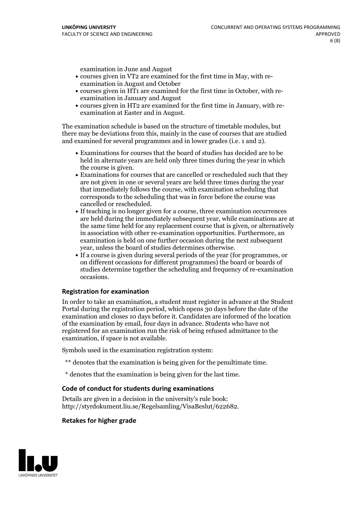examination in June and August

- courses given in VT2 are examined for the first time in May, with re-examination in August and October
- courses given in HT1 are examined for the first time in October, with re-examination in January and August
- courses given in HT2 are examined for the first time in January, with re-examination at Easter and in August.

The examination schedule is based on the structure of timetable modules, but there may be deviations from this, mainly in the case of courses that are studied and examined for several programmes and in lower grades (i.e. 1 and 2).

- Examinations for courses that the board of studies has decided are to be held in alternate years are held only three times during the year in which
- the course is given.<br>• Examinations for courses that are cancelled or rescheduled such that they are not given in one or several years are held three times during the year that immediately follows the course, with examination scheduling that corresponds to the scheduling that was in force before the course was cancelled or rescheduled.<br>• If teaching is no longer given for a course, three examination occurrences
- are held during the immediately subsequent year, while examinations are at the same time held for any replacement course that is given, or alternatively in association with other re-examination opportunities. Furthermore, an examination is held on one further occasion during the next subsequent year, unless the board of studies determines otherwise.<br>• If a course is given during several periods of the year (for programmes, or
- on different occasions for different programmes) the board orboards of studies determine together the scheduling and frequency of re-examination occasions.

#### **Registration for examination**

In order to take an examination, a student must register in advance at the Student Portal during the registration period, which opens 30 days before the date of the examination and closes 10 days before it. Candidates are informed of the location of the examination by email, four days in advance. Students who have not registered for an examination run the risk of being refused admittance to the examination, if space is not available.

Symbols used in the examination registration system:

- \*\* denotes that the examination is being given for the penultimate time.
- \* denotes that the examination is being given for the last time.

#### **Code of conduct for students during examinations**

Details are given in a decision in the university's rule book: http://styrdokument.liu.se/Regelsamling/VisaBeslut/622682.

#### **Retakes for higher grade**

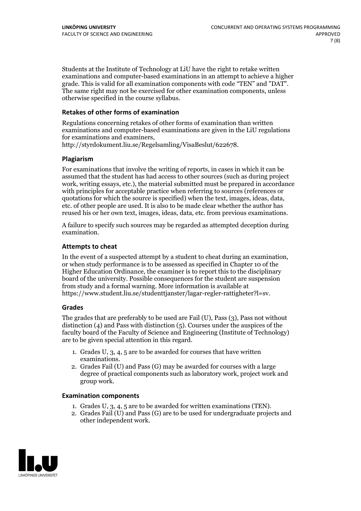Students at the Institute of Technology at LiU have the right to retake written examinations and computer-based examinations in an attempt to achieve a higher grade. This is valid for all examination components with code "TEN" and "DAT". The same right may not be exercised for other examination components, unless otherwise specified in the course syllabus.

#### **Retakes of other forms of examination**

Regulations concerning retakes of other forms of examination than written examinations and computer-based examinations are given in the LiU regulations for examinations and examiners, http://styrdokument.liu.se/Regelsamling/VisaBeslut/622678.

#### **Plagiarism**

For examinations that involve the writing of reports, in cases in which it can be assumed that the student has had access to other sources (such as during project work, writing essays, etc.), the material submitted must be prepared in accordance with principles for acceptable practice when referring to sources (references or quotations for which the source is specified) when the text, images, ideas, data, etc. of other people are used. It is also to be made clear whether the author has reused his or her own text, images, ideas, data, etc. from previous examinations.

A failure to specify such sources may be regarded as attempted deception during examination.

#### **Attempts to cheat**

In the event of <sup>a</sup> suspected attempt by <sup>a</sup> student to cheat during an examination, or when study performance is to be assessed as specified in Chapter <sup>10</sup> of the Higher Education Ordinance, the examiner is to report this to the disciplinary board of the university. Possible consequences for the student are suspension from study and a formal warning. More information is available at https://www.student.liu.se/studenttjanster/lagar-regler-rattigheter?l=sv.

#### **Grades**

The grades that are preferably to be used are Fail (U), Pass (3), Pass not without distinction  $(4)$  and Pass with distinction  $(5)$ . Courses under the auspices of the faculty board of the Faculty of Science and Engineering (Institute of Technology) are to be given special attention in this regard.

- 1. Grades U, 3, 4, 5 are to be awarded for courses that have written
- examinations. 2. Grades Fail (U) and Pass (G) may be awarded for courses with <sup>a</sup> large degree of practical components such as laboratory work, project work and group work.

#### **Examination components**

- 
- 1. Grades U, 3, 4, <sup>5</sup> are to be awarded for written examinations (TEN). 2. Grades Fail (U) and Pass (G) are to be used for undergraduate projects and other independent work.